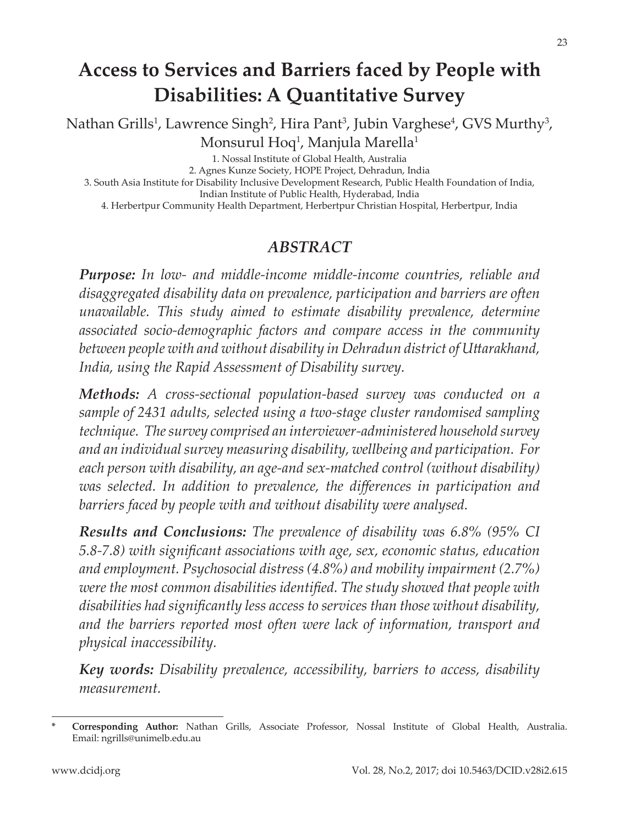# **Access to Services and Barriers faced by People with Disabilities: A Quantitative Survey**

Nathan Grills<sup>1</sup>, Lawrence Singh<sup>2</sup>, Hira Pant<sup>3</sup>, Jubin Varghese<sup>4</sup>, GVS Murthy<sup>3</sup>, Monsurul Hoq<sup>1</sup>, Manjula Marella<sup>1</sup>

1. Nossal Institute of Global Health, Australia

2. Agnes Kunze Society, HOPE Project, Dehradun, India

3. South Asia Institute for Disability Inclusive Development Research, Public Health Foundation of India,

Indian Institute of Public Health, Hyderabad, India

4. Herbertpur Community Health Department, Herbertpur Christian Hospital, Herbertpur, India

#### *ABSTRACT*

*Purpose: In low- and middle-income middle-income countries, reliable and disaggregated disability data on prevalence, participation and barriers are often unavailable. This study aimed to estimate disability prevalence, determine associated socio-demographic factors and compare access in the community between people with and without disability in Dehradun district of Uttarakhand, India, using the Rapid Assessment of Disability survey.*

*Methods: A cross-sectional population-based survey was conducted on a sample of 2431 adults, selected using a two-stage cluster randomised sampling technique. The survey comprised an interviewer-administered household survey and an individual survey measuring disability, wellbeing and participation. For each person with disability, an age-and sex-matched control (without disability) was selected. In addition to prevalence, the differences in participation and barriers faced by people with and without disability were analysed.*

*Results and Conclusions: The prevalence of disability was 6.8% (95% CI 5.8-7.8) with significant associations with age, sex, economic status, education and employment. Psychosocial distress (4.8%) and mobility impairment (2.7%) were the most common disabilities identified. The study showed that people with disabilities had significantly less access to services than those without disability, and the barriers reported most often were lack of information, transport and physical inaccessibility.*

*Key words: Disability prevalence, accessibility, barriers to access, disability measurement.*

**<sup>\*</sup> Corresponding Author:** Nathan Grills, Associate Professor, Nossal Institute of Global Health, Australia. Email: ngrills@unimelb.edu.au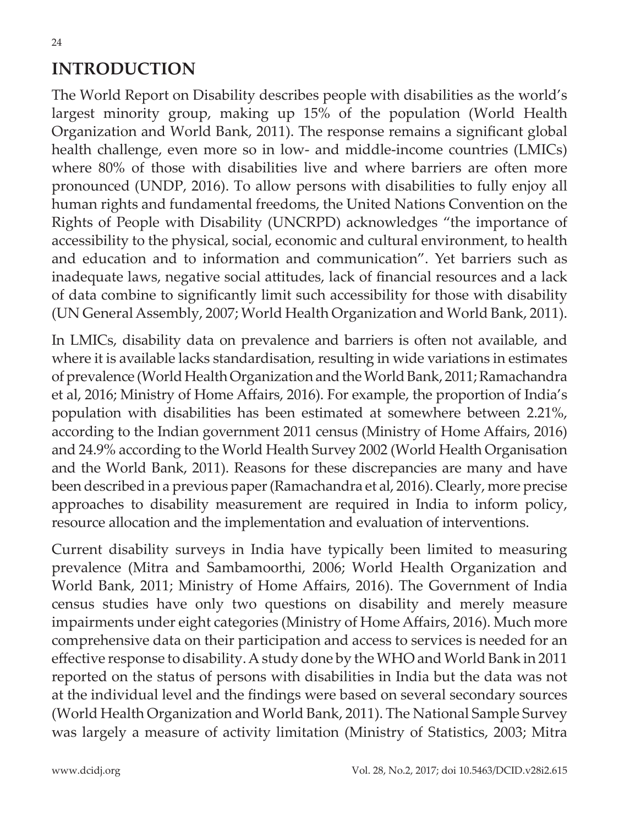## **INTRODUCTION**

The World Report on Disability describes people with disabilities as the world's largest minority group, making up 15% of the population (World Health Organization and World Bank, 2011). The response remains a significant global health challenge, even more so in low- and middle-income countries (LMICs) where 80% of those with disabilities live and where barriers are often more pronounced (UNDP, 2016). To allow persons with disabilities to fully enjoy all human rights and fundamental freedoms, the United Nations Convention on the Rights of People with Disability (UNCRPD) acknowledges "the importance of accessibility to the physical, social, economic and cultural environment, to health and education and to information and communication". Yet barriers such as inadequate laws, negative social attitudes, lack of financial resources and a lack of data combine to significantly limit such accessibility for those with disability (UN General Assembly, 2007; World Health Organization and World Bank, 2011).

In LMICs, disability data on prevalence and barriers is often not available, and where it is available lacks standardisation, resulting in wide variations in estimates of prevalence (World Health Organization and the World Bank, 2011; Ramachandra et al, 2016; Ministry of Home Affairs, 2016). For example, the proportion of India's population with disabilities has been estimated at somewhere between 2.21%, according to the Indian government 2011 census (Ministry of Home Affairs, 2016) and 24.9% according to the World Health Survey 2002 (World Health Organisation and the World Bank, 2011). Reasons for these discrepancies are many and have been described in a previous paper (Ramachandra et al, 2016). Clearly, more precise approaches to disability measurement are required in India to inform policy, resource allocation and the implementation and evaluation of interventions.

Current disability surveys in India have typically been limited to measuring prevalence (Mitra and Sambamoorthi, 2006; World Health Organization and World Bank, 2011; Ministry of Home Affairs, 2016). The Government of India census studies have only two questions on disability and merely measure impairments under eight categories (Ministry of Home Affairs, 2016). Much more comprehensive data on their participation and access to services is needed for an effective response to disability. A study done by the WHO and World Bank in 2011 reported on the status of persons with disabilities in India but the data was not at the individual level and the findings were based on several secondary sources (World Health Organization and World Bank, 2011). The National Sample Survey was largely a measure of activity limitation (Ministry of Statistics, 2003; Mitra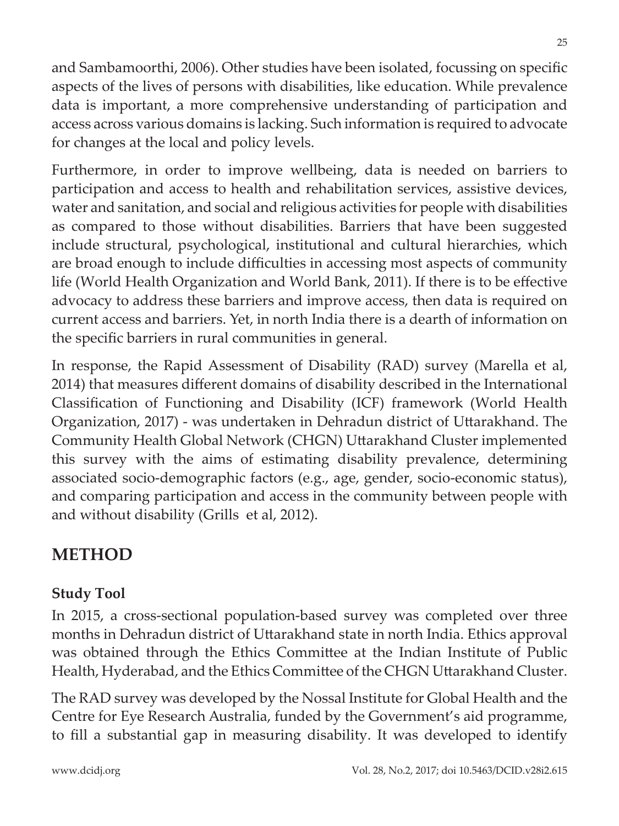and Sambamoorthi, 2006). Other studies have been isolated, focussing on specific aspects of the lives of persons with disabilities, like education. While prevalence data is important, a more comprehensive understanding of participation and access across various domains is lacking. Such information is required to advocate for changes at the local and policy levels.

Furthermore, in order to improve wellbeing, data is needed on barriers to participation and access to health and rehabilitation services, assistive devices, water and sanitation, and social and religious activities for people with disabilities as compared to those without disabilities. Barriers that have been suggested include structural, psychological, institutional and cultural hierarchies, which are broad enough to include difficulties in accessing most aspects of community life (World Health Organization and World Bank, 2011). If there is to be effective advocacy to address these barriers and improve access, then data is required on current access and barriers. Yet, in north India there is a dearth of information on the specific barriers in rural communities in general.

In response, the Rapid Assessment of Disability (RAD) survey (Marella et al, 2014) that measures different domains of disability described in the International Classification of Functioning and Disability (ICF) framework (World Health Organization, 2017) - was undertaken in Dehradun district of Uttarakhand. The Community Health Global Network (CHGN) Uttarakhand Cluster implemented this survey with the aims of estimating disability prevalence, determining associated socio-demographic factors (e.g., age, gender, socio-economic status), and comparing participation and access in the community between people with and without disability (Grills et al, 2012).

## **METHOD**

### **Study Tool**

In 2015, a cross-sectional population-based survey was completed over three months in Dehradun district of Uttarakhand state in north India. Ethics approval was obtained through the Ethics Committee at the Indian Institute of Public Health, Hyderabad, and the Ethics Committee of the CHGN Uttarakhand Cluster.

The RAD survey was developed by the Nossal Institute for Global Health and the Centre for Eye Research Australia, funded by the Government's aid programme, to fill a substantial gap in measuring disability. It was developed to identify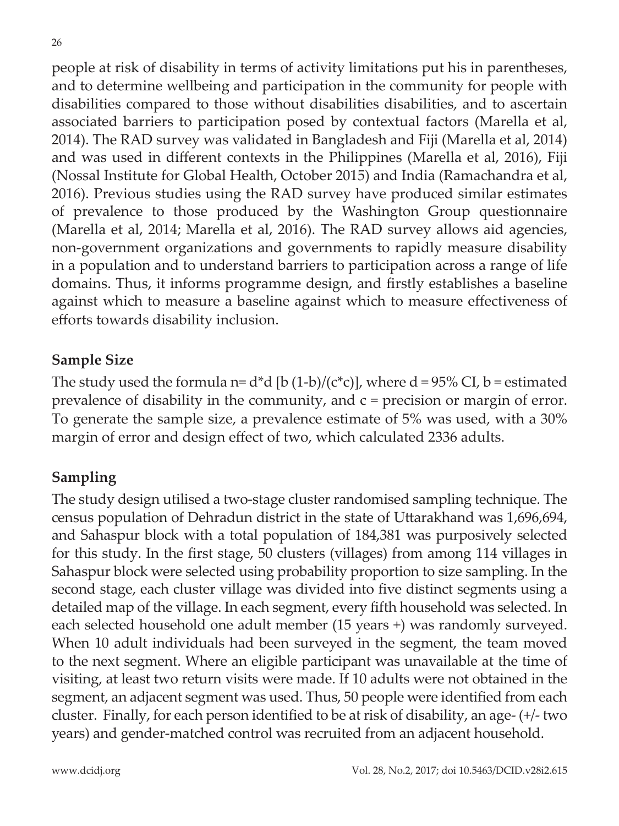people at risk of disability in terms of activity limitations put his in parentheses, and to determine wellbeing and participation in the community for people with disabilities compared to those without disabilities disabilities, and to ascertain associated barriers to participation posed by contextual factors (Marella et al, 2014). The RAD survey was validated in Bangladesh and Fiji (Marella et al, 2014) and was used in different contexts in the Philippines (Marella et al, 2016), Fiji (Nossal Institute for Global Health, October 2015) and India (Ramachandra et al, 2016). Previous studies using the RAD survey have produced similar estimates of prevalence to those produced by the Washington Group questionnaire (Marella et al, 2014; Marella et al, 2016). The RAD survey allows aid agencies, non-government organizations and governments to rapidly measure disability in a population and to understand barriers to participation across a range of life domains. Thus, it informs programme design, and firstly establishes a baseline against which to measure a baseline against which to measure effectiveness of efforts towards disability inclusion.

#### **Sample Size**

The study used the formula n=  $d^*d$  [b (1-b)/( $c^*c$ )], where  $d = 95\%$  CI, b = estimated prevalence of disability in the community, and c = precision or margin of error. To generate the sample size, a prevalence estimate of 5% was used, with a 30% margin of error and design effect of two, which calculated 2336 adults.

### **Sampling**

The study design utilised a two-stage cluster randomised sampling technique. The census population of Dehradun district in the state of Uttarakhand was 1,696,694, and Sahaspur block with a total population of 184,381 was purposively selected for this study. In the first stage, 50 clusters (villages) from among 114 villages in Sahaspur block were selected using probability proportion to size sampling. In the second stage, each cluster village was divided into five distinct segments using a detailed map of the village. In each segment, every fifth household was selected. In each selected household one adult member (15 years +) was randomly surveyed. When 10 adult individuals had been surveyed in the segment, the team moved to the next segment. Where an eligible participant was unavailable at the time of visiting, at least two return visits were made. If 10 adults were not obtained in the segment, an adjacent segment was used. Thus, 50 people were identified from each cluster. Finally, for each person identified to be at risk of disability, an age- (+/- two years) and gender-matched control was recruited from an adjacent household.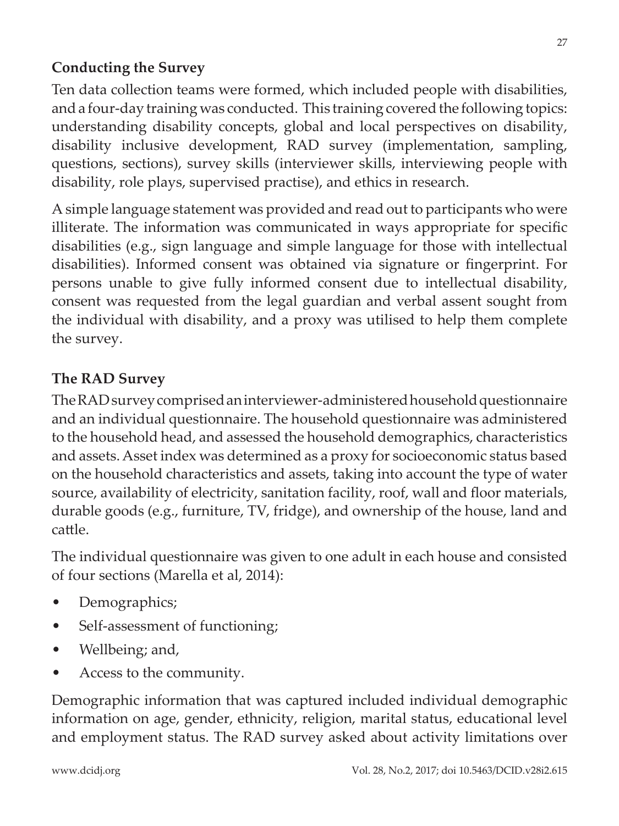#### **Conducting the Survey**

Ten data collection teams were formed, which included people with disabilities, and a four-day training was conducted. This training covered the following topics: understanding disability concepts, global and local perspectives on disability, disability inclusive development, RAD survey (implementation, sampling, questions, sections), survey skills (interviewer skills, interviewing people with disability, role plays, supervised practise), and ethics in research.

A simple language statement was provided and read out to participants who were illiterate. The information was communicated in ways appropriate for specific disabilities (e.g., sign language and simple language for those with intellectual disabilities). Informed consent was obtained via signature or fingerprint. For persons unable to give fully informed consent due to intellectual disability, consent was requested from the legal guardian and verbal assent sought from the individual with disability, and a proxy was utilised to help them complete the survey.

#### **The RAD Survey**

The RAD survey comprised an interviewer-administered household questionnaire and an individual questionnaire. The household questionnaire was administered to the household head, and assessed the household demographics, characteristics and assets. Asset index was determined as a proxy for socioeconomic status based on the household characteristics and assets, taking into account the type of water source, availability of electricity, sanitation facility, roof, wall and floor materials, durable goods (e.g., furniture, TV, fridge), and ownership of the house, land and cattle.

The individual questionnaire was given to one adult in each house and consisted of four sections (Marella et al, 2014):

- Demographics;
- Self-assessment of functioning;
- Wellbeing; and,
- Access to the community.

Demographic information that was captured included individual demographic information on age, gender, ethnicity, religion, marital status, educational level and employment status. The RAD survey asked about activity limitations over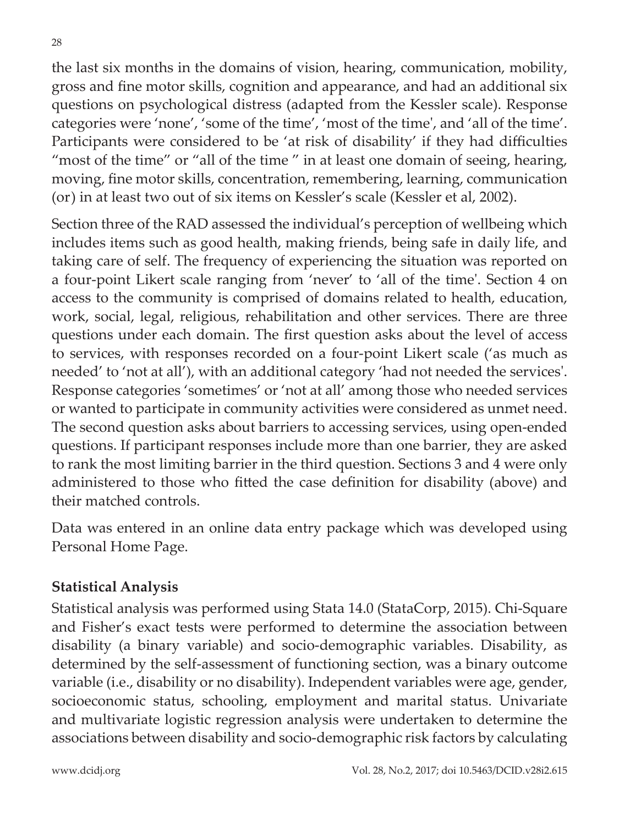the last six months in the domains of vision, hearing, communication, mobility, gross and fine motor skills, cognition and appearance, and had an additional six questions on psychological distress (adapted from the Kessler scale). Response categories were 'none', 'some of the time', 'most of the time', and 'all of the time'. Participants were considered to be 'at risk of disability' if they had difficulties "most of the time" or "all of the time" in at least one domain of seeing, hearing, moving, fine motor skills, concentration, remembering, learning, communication (or) in at least two out of six items on Kessler's scale (Kessler et al, 2002).

Section three of the RAD assessed the individual's perception of wellbeing which includes items such as good health, making friends, being safe in daily life, and taking care of self. The frequency of experiencing the situation was reported on a four-point Likert scale ranging from 'never' to 'all of the time'. Section 4 on access to the community is comprised of domains related to health, education, work, social, legal, religious, rehabilitation and other services. There are three questions under each domain. The first question asks about the level of access to services, with responses recorded on a four-point Likert scale ('as much as needed' to 'not at all'), with an additional category 'had not needed the services'. Response categories 'sometimes' or 'not at all' among those who needed services or wanted to participate in community activities were considered as unmet need. The second question asks about barriers to accessing services, using open-ended questions. If participant responses include more than one barrier, they are asked to rank the most limiting barrier in the third question. Sections 3 and 4 were only administered to those who fitted the case definition for disability (above) and their matched controls.

Data was entered in an online data entry package which was developed using Personal Home Page.

#### **Statistical Analysis**

Statistical analysis was performed using Stata 14.0 (StataCorp, 2015). Chi-Square and Fisher's exact tests were performed to determine the association between disability (a binary variable) and socio-demographic variables. Disability, as determined by the self-assessment of functioning section, was a binary outcome variable (i.e., disability or no disability). Independent variables were age, gender, socioeconomic status, schooling, employment and marital status. Univariate and multivariate logistic regression analysis were undertaken to determine the associations between disability and socio-demographic risk factors by calculating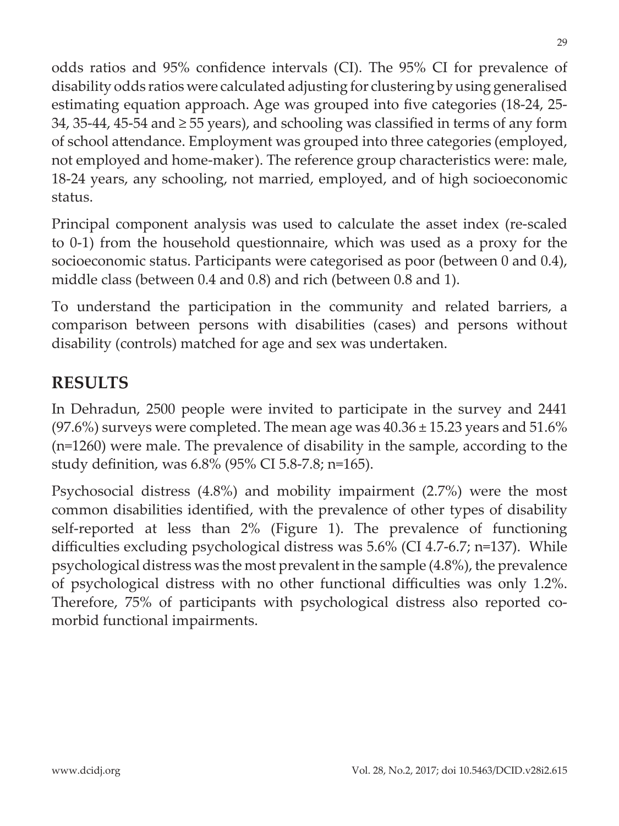odds ratios and 95% confidence intervals (CI). The 95% CI for prevalence of disability odds ratios were calculated adjusting for clustering by using generalised estimating equation approach. Age was grouped into five categories (18-24, 25- 34, 35-44, 45-54 and  $\geq$  55 years), and schooling was classified in terms of any form of school attendance. Employment was grouped into three categories (employed, not employed and home-maker). The reference group characteristics were: male, 18-24 years, any schooling, not married, employed, and of high socioeconomic status.

Principal component analysis was used to calculate the asset index (re-scaled to 0-1) from the household questionnaire, which was used as a proxy for the socioeconomic status. Participants were categorised as poor (between 0 and 0.4), middle class (between 0.4 and 0.8) and rich (between 0.8 and 1).

To understand the participation in the community and related barriers, a comparison between persons with disabilities (cases) and persons without disability (controls) matched for age and sex was undertaken.

## **RESULTS**

In Dehradun, 2500 people were invited to participate in the survey and 2441 (97.6%) surveys were completed. The mean age was  $40.36 \pm 15.23$  years and  $51.6\%$ (n=1260) were male. The prevalence of disability in the sample, according to the study definition, was 6.8% (95% CI 5.8-7.8; n=165).

Psychosocial distress (4.8%) and mobility impairment (2.7%) were the most common disabilities identified, with the prevalence of other types of disability self-reported at less than 2% (Figure 1). The prevalence of functioning difficulties excluding psychological distress was 5.6% (CI 4.7-6.7; n=137). While psychological distress was the most prevalent in the sample (4.8%), the prevalence of psychological distress with no other functional difficulties was only 1.2%. Therefore, 75% of participants with psychological distress also reported comorbid functional impairments.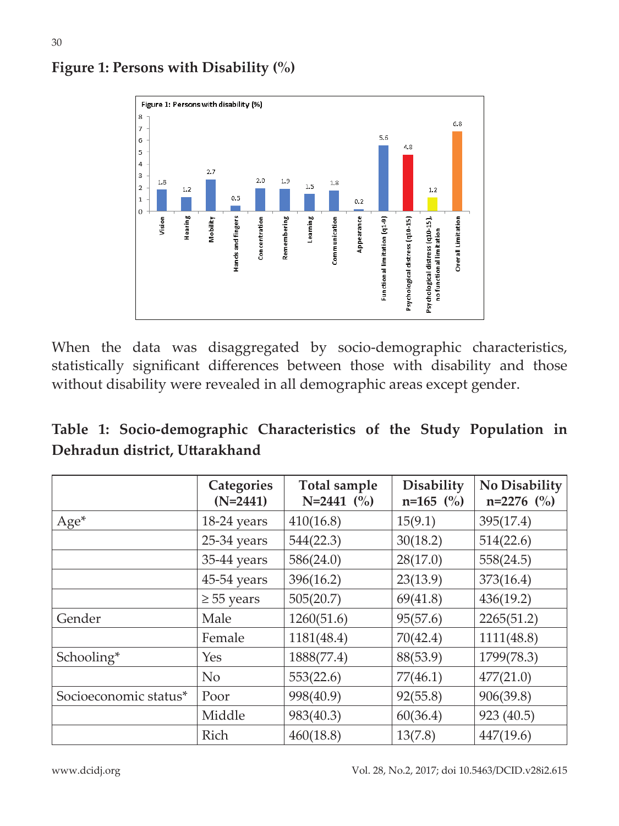

#### **Figure 1: Persons with Disability (%)**

30

When the data was disaggregated by socio-demographic characteristics, statistically significant differences between those with disability and those without disability were revealed in all demographic areas except gender.

|  | Table 1: Socio-demographic Characteristics of the Study Population in |  |  |  |
|--|-----------------------------------------------------------------------|--|--|--|
|  | Dehradun district, Uttarakhand                                        |  |  |  |

|                       | <b>Categories</b><br>$(N=2441)$ | Total sample<br>$N=2441$ (%) | <b>Disability</b><br>$n=165$ (%) | No Disability<br>$n=2276$ (%) |
|-----------------------|---------------------------------|------------------------------|----------------------------------|-------------------------------|
| $Age*$                | 18-24 years                     | 410(16.8)                    | 15(9.1)                          | 395(17.4)                     |
|                       | 25-34 years                     | 544(22.3)                    | 30(18.2)                         | 514(22.6)                     |
|                       | 35-44 years                     | 586(24.0)                    | 28(17.0)                         | 558(24.5)                     |
|                       | 45-54 years                     | 396(16.2)                    | 23(13.9)                         | 373(16.4)                     |
|                       | $\geq$ 55 years                 | 505(20.7)                    | 69(41.8)                         | 436(19.2)                     |
| Gender                | Male                            | 1260(51.6)                   | 95(57.6)                         | 2265(51.2)                    |
|                       | Female                          | 1181(48.4)                   | 70(42.4)                         | 1111(48.8)                    |
| Schooling*            | Yes                             | 1888(77.4)                   | 88(53.9)                         | 1799(78.3)                    |
|                       | N <sub>o</sub>                  | 553(22.6)                    | 77(46.1)                         | 477(21.0)                     |
| Socioeconomic status* | Poor                            | 998(40.9)                    | 92(55.8)                         | 906(39.8)                     |
|                       | Middle                          | 983(40.3)                    | 60(36.4)                         | 923 (40.5)                    |
|                       | Rich                            | 460(18.8)                    | 13(7.8)                          | 447(19.6)                     |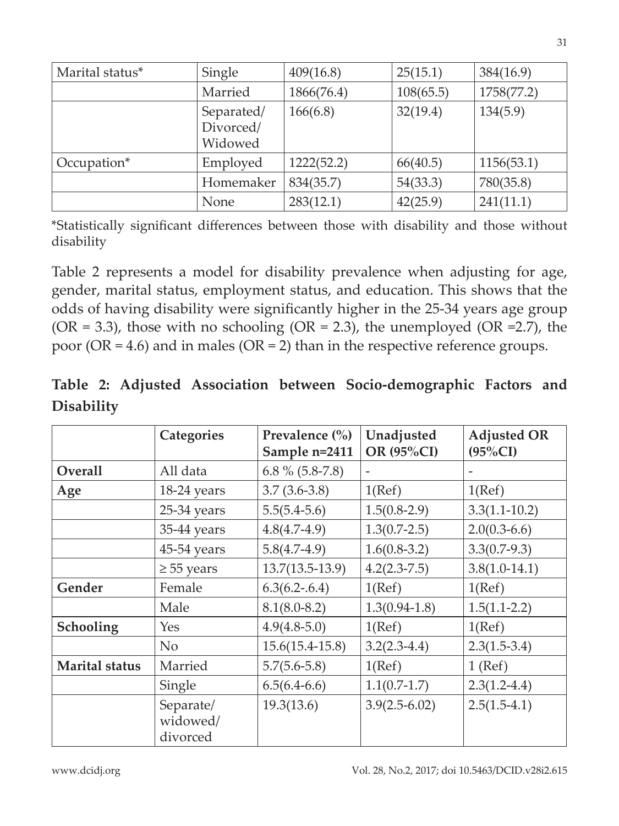| Marital status* | Single                             | 409(16.8)  | 25(15.1)  | 384(16.9)  |
|-----------------|------------------------------------|------------|-----------|------------|
|                 | Married                            | 1866(76.4) | 108(65.5) | 1758(77.2) |
|                 | Separated/<br>Divorced/<br>Widowed | 166(6.8)   | 32(19.4)  | 134(5.9)   |
| Occupation*     | Employed                           | 1222(52.2) | 66(40.5)  | 1156(53.1) |
|                 | Homemaker                          | 834(35.7)  | 54(33.3)  | 780(35.8)  |
|                 | None                               | 283(12.1)  | 42(25.9)  | 241(11.1)  |

\*Statistically significant differences between those with disability and those without disability

Table 2 represents a model for disability prevalence when adjusting for age, gender, marital status, employment status, and education. This shows that the odds of having disability were significantly higher in the 25-34 years age group (OR = 3.3), those with no schooling (OR = 2.3), the unemployed (OR = 2.7), the poor (OR = 4.6) and in males (OR = 2) than in the respective reference groups.

|                   |  |  | Table 2: Adjusted Association between Socio-demographic Factors and |  |
|-------------------|--|--|---------------------------------------------------------------------|--|
| <b>Disability</b> |  |  |                                                                     |  |

|                       | Categories                        | Prevalence $\left(\frac{0}{0}\right)$<br>Sample n=2411 | Unadjusted<br>OR (95%CI) | <b>Adjusted OR</b><br>$(95\%CI)$ |
|-----------------------|-----------------------------------|--------------------------------------------------------|--------------------------|----------------------------------|
| Overall               | All data                          | 6.8 % (5.8-7.8)                                        |                          |                                  |
| Age                   | 18-24 years                       | $3.7(3.6-3.8)$                                         | 1(Ref)                   | 1(Ref)                           |
|                       | 25-34 years                       | $5.5(5.4-5.6)$                                         | $1.5(0.8-2.9)$           | $3.3(1.1 - 10.2)$                |
|                       | 35-44 years                       | $4.8(4.7-4.9)$                                         | $1.3(0.7-2.5)$           | $2.0(0.3-6.6)$                   |
|                       | 45-54 years                       | $5.8(4.7-4.9)$                                         | $1.6(0.8-3.2)$           | $3.3(0.7-9.3)$                   |
|                       | $\geq$ 55 years                   | $13.7(13.5-13.9)$                                      | $4.2(2.3 - 7.5)$         | $3.8(1.0-14.1)$                  |
| Gender                | Female                            | $6.3(6.2 - .6.4)$                                      | 1(Ref)                   | 1(Ref)                           |
|                       | Male                              | $8.1(8.0 - 8.2)$                                       | $1.3(0.94-1.8)$          | $1.5(1.1-2.2)$                   |
| Schooling             | Yes                               | $4.9(4.8-5.0)$                                         | 1(Ref)                   | 1(Ref)                           |
|                       | N <sub>o</sub>                    | $15.6(15.4-15.8)$                                      | $3.2(2.3-4.4)$           | $2.3(1.5-3.4)$                   |
| <b>Marital</b> status | Married                           | $5.7(5.6-5.8)$                                         | 1(Ref)                   | $1$ (Ref)                        |
|                       | Single                            | $6.5(6.4-6.6)$                                         | $1.1(0.7-1.7)$           | $2.3(1.2-4.4)$                   |
|                       | Separate/<br>widowed/<br>divorced | 19.3(13.6)                                             | $3.9(2.5-6.02)$          | $2.5(1.5-4.1)$                   |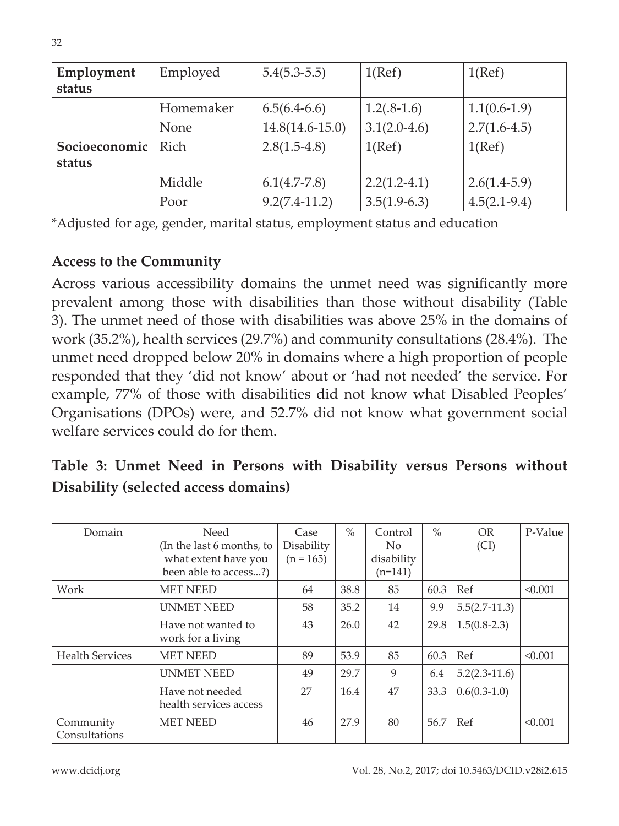| Employment    | Employed  | $5.4(5.3-5.5)$      | 1(Ref)         | 1(Ref)         |
|---------------|-----------|---------------------|----------------|----------------|
| status        |           |                     |                |                |
|               | Homemaker | $6.5(6.4-6.6)$      | $1.2(.8-1.6)$  | $1.1(0.6-1.9)$ |
|               | None      | $14.8(14.6 - 15.0)$ | $3.1(2.0-4.6)$ | $2.7(1.6-4.5)$ |
| Socioeconomic | Rich      | $2.8(1.5-4.8)$      | 1(Ref)         | 1(Ref)         |
| status        |           |                     |                |                |
|               | Middle    | $6.1(4.7-7.8)$      | $2.2(1.2-4.1)$ | $2.6(1.4-5.9)$ |
|               | Poor      | $9.2(7.4-11.2)$     | $3.5(1.9-6.3)$ | $4.5(2.1-9.4)$ |

\*Adjusted for age, gender, marital status, employment status and education

#### **Access to the Community**

Across various accessibility domains the unmet need was significantly more prevalent among those with disabilities than those without disability (Table 3). The unmet need of those with disabilities was above 25% in the domains of work (35.2%), health services (29.7%) and community consultations (28.4%). The unmet need dropped below 20% in domains where a high proportion of people responded that they 'did not know' about or 'had not needed' the service. For example, 77% of those with disabilities did not know what Disabled Peoples' Organisations (DPOs) were, and 52.7% did not know what government social welfare services could do for them.

### **Table 3: Unmet Need in Persons with Disability versus Persons without Disability (selected access domains)**

| Domain                     | <b>Need</b><br>(In the last 6 months, to<br>what extent have you<br>been able to access?) | Case<br>Disability<br>$(n = 165)$ | $\frac{0}{6}$ | Control<br>No.<br>disability<br>$(n=141)$ | $\frac{0}{0}$ | OR.<br>(Cl)     | P-Value |
|----------------------------|-------------------------------------------------------------------------------------------|-----------------------------------|---------------|-------------------------------------------|---------------|-----------------|---------|
| Work                       | <b>MET NEED</b>                                                                           | 64                                | 38.8          | 85                                        | 60.3          | Ref             | < 0.001 |
|                            | <b>UNMET NEED</b>                                                                         | 58                                | 35.2          | 14                                        | 9.9           | $5.5(2.7-11.3)$ |         |
|                            | Have not wanted to<br>work for a living                                                   | 43                                | 26.0          | 42                                        | 29.8          | $1.5(0.8-2.3)$  |         |
| <b>Health Services</b>     | <b>MET NEED</b>                                                                           | 89                                | 53.9          | 85                                        | 60.3          | Ref             | < 0.001 |
|                            | <b>UNMET NEED</b>                                                                         | 49                                | 29.7          | 9                                         | 6.4           | $5.2(2.3-11.6)$ |         |
|                            | Have not needed<br>health services access                                                 | 27                                | 16.4          | 47                                        | 33.3          | $0.6(0.3-1.0)$  |         |
| Community<br>Consultations | <b>MET NEED</b>                                                                           | 46                                | 27.9          | 80                                        | 56.7          | Ref             | < 0.001 |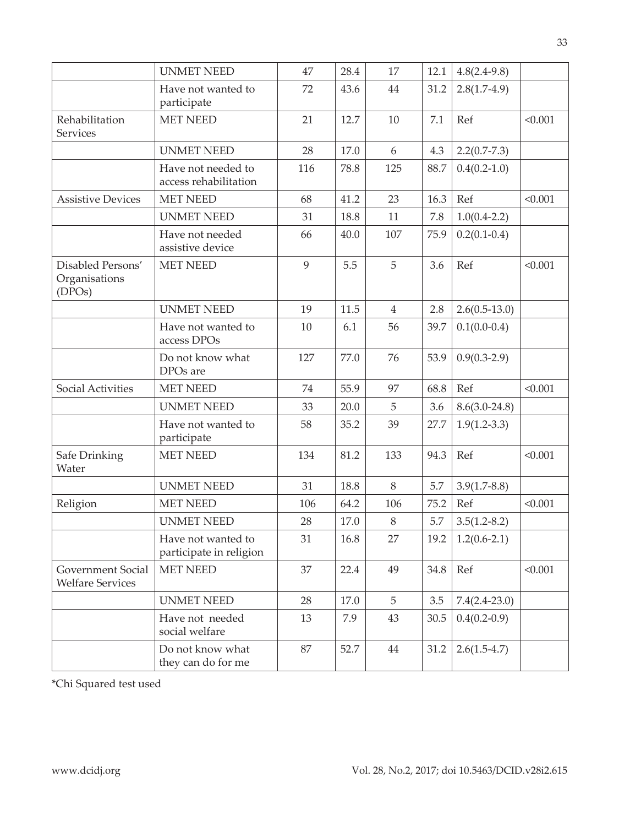|                                                     | <b>UNMET NEED</b>                             | 47  | 28.4 | 17             | 12.1    | $4.8(2.4-9.8)$  |         |
|-----------------------------------------------------|-----------------------------------------------|-----|------|----------------|---------|-----------------|---------|
|                                                     | Have not wanted to<br>participate             | 72  | 43.6 | 44             | 31.2    | $2.8(1.7-4.9)$  |         |
| Rehabilitation<br>Services                          | <b>MET NEED</b>                               | 21  | 12.7 | 10             | 7.1     | Ref             | < 0.001 |
|                                                     | <b>UNMET NEED</b>                             | 28  | 17.0 | 6              | 4.3     | $2.2(0.7-7.3)$  |         |
|                                                     | Have not needed to<br>access rehabilitation   | 116 | 78.8 | 125            | 88.7    | $0.4(0.2-1.0)$  |         |
| <b>Assistive Devices</b>                            | <b>MET NEED</b>                               | 68  | 41.2 | 23             | 16.3    | Ref             | < 0.001 |
|                                                     | <b>UNMET NEED</b>                             | 31  | 18.8 | 11             | $7.8\,$ | $1.0(0.4-2.2)$  |         |
|                                                     | Have not needed<br>assistive device           | 66  | 40.0 | 107            | 75.9    | $0.2(0.1-0.4)$  |         |
| Disabled Persons'<br>Organisations<br>(DPOS)        | <b>MET NEED</b>                               | 9   | 5.5  | 5              | 3.6     | Ref             | < 0.001 |
|                                                     | <b>UNMET NEED</b>                             | 19  | 11.5 | $\overline{4}$ | 2.8     | $2.6(0.5-13.0)$ |         |
|                                                     | Have not wanted to<br>access DPOs             | 10  | 6.1  | 56             | 39.7    | $0.1(0.0-0.4)$  |         |
|                                                     | Do not know what<br>DPO <sub>s</sub> are      | 127 | 77.0 | 76             | 53.9    | $0.9(0.3-2.9)$  |         |
| Social Activities                                   | <b>MET NEED</b>                               | 74  | 55.9 | 97             | 68.8    | Ref             | < 0.001 |
|                                                     | <b>UNMET NEED</b>                             | 33  | 20.0 | 5              | 3.6     | $8.6(3.0-24.8)$ |         |
|                                                     | Have not wanted to<br>participate             | 58  | 35.2 | 39             | 27.7    | $1.9(1.2-3.3)$  |         |
| Safe Drinking<br>Water                              | <b>MET NEED</b>                               | 134 | 81.2 | 133            | 94.3    | Ref             | < 0.001 |
|                                                     | <b>UNMET NEED</b>                             | 31  | 18.8 | 8              | 5.7     | $3.9(1.7-8.8)$  |         |
| Religion                                            | <b>MET NEED</b>                               | 106 | 64.2 | 106            | 75.2    | Ref             | < 0.001 |
|                                                     | <b>UNMET NEED</b>                             | 28  | 17.0 | 8              | 5.7     | $3.5(1.2-8.2)$  |         |
|                                                     | Have not wanted to<br>participate in religion | 31  | 16.8 | 27             | 19.2    | $1.2(0.6-2.1)$  |         |
| <b>Government Social</b><br><b>Welfare Services</b> | <b>MET NEED</b>                               | 37  | 22.4 | 49             | 34.8    | Ref             | < 0.001 |
|                                                     | <b>UNMET NEED</b>                             | 28  | 17.0 | 5              | 3.5     | $7.4(2.4-23.0)$ |         |
|                                                     | Have not needed<br>social welfare             | 13  | 7.9  | 43             | 30.5    | $0.4(0.2-0.9)$  |         |
|                                                     | Do not know what<br>they can do for me        | 87  | 52.7 | 44             | 31.2    | $2.6(1.5-4.7)$  |         |

\*Chi Squared test used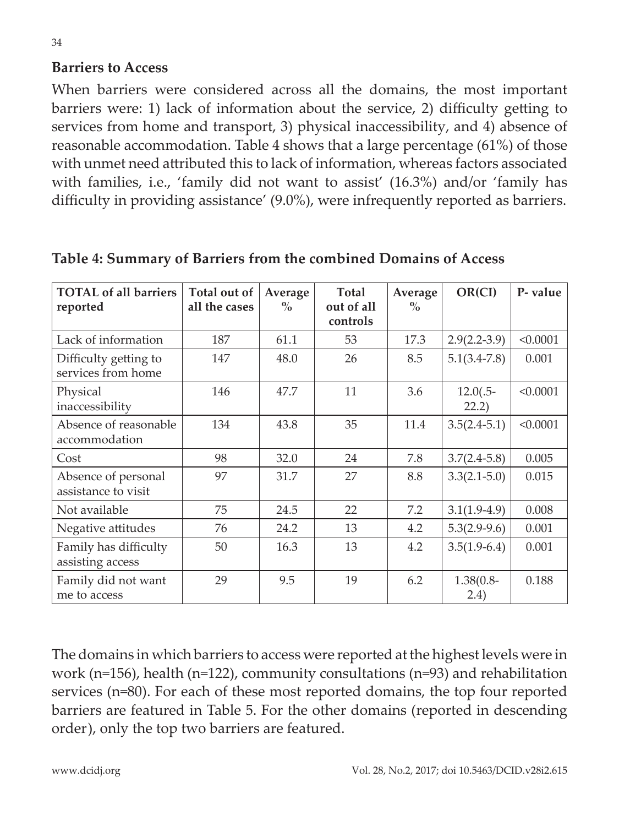#### **Barriers to Access**

When barriers were considered across all the domains, the most important barriers were: 1) lack of information about the service, 2) difficulty getting to services from home and transport, 3) physical inaccessibility, and 4) absence of reasonable accommodation. Table 4 shows that a large percentage (61%) of those with unmet need attributed this to lack of information, whereas factors associated with families, i.e., 'family did not want to assist' (16.3%) and/or 'family has difficulty in providing assistance' (9.0%), were infrequently reported as barriers.

| <b>TOTAL of all barriers</b><br>reported    | Total out of<br>all the cases | Average<br>$\%$ | Total<br>out of all<br>controls | Average<br>$\%$ | OR(CI)                | P-value  |
|---------------------------------------------|-------------------------------|-----------------|---------------------------------|-----------------|-----------------------|----------|
| Lack of information                         | 187                           | 61.1            | 53                              | 17.3            | $2.9(2.2-3.9)$        | < 0.0001 |
| Difficulty getting to<br>services from home | 147                           | 48.0            | 26                              | 8.5             | $5.1(3.4-7.8)$        | 0.001    |
| Physical<br>inaccessibility                 | 146                           | 47.7            | 11                              | 3.6             | $12.0(.5-$<br>22.2)   | < 0.0001 |
| Absence of reasonable<br>accommodation      | 134                           | 43.8            | 35                              | 11.4            | $3.5(2.4-5.1)$        | < 0.0001 |
| Cost                                        | 98                            | 32.0            | 24                              | 7.8             | $3.7(2.4-5.8)$        | 0.005    |
| Absence of personal<br>assistance to visit  | 97                            | 31.7            | 27                              | 8.8             | $3.3(2.1 - 5.0)$      | 0.015    |
| Not available                               | 75                            | 24.5            | 22                              | 7.2             | $3.1(1.9-4.9)$        | 0.008    |
| Negative attitudes                          | 76                            | 24.2            | 13                              | 4.2             | $5.3(2.9-9.6)$        | 0.001    |
| Family has difficulty<br>assisting access   | 50                            | 16.3            | 13                              | 4.2             | $3.5(1.9-6.4)$        | 0.001    |
| Family did not want<br>me to access         | 29                            | 9.5             | 19                              | 6.2             | $1.38(0.8 -$<br>(2.4) | 0.188    |

**Table 4: Summary of Barriers from the combined Domains of Access**

The domains in which barriers to access were reported at the highest levels were in work (n=156), health (n=122), community consultations (n=93) and rehabilitation services (n=80). For each of these most reported domains, the top four reported barriers are featured in Table 5. For the other domains (reported in descending order), only the top two barriers are featured.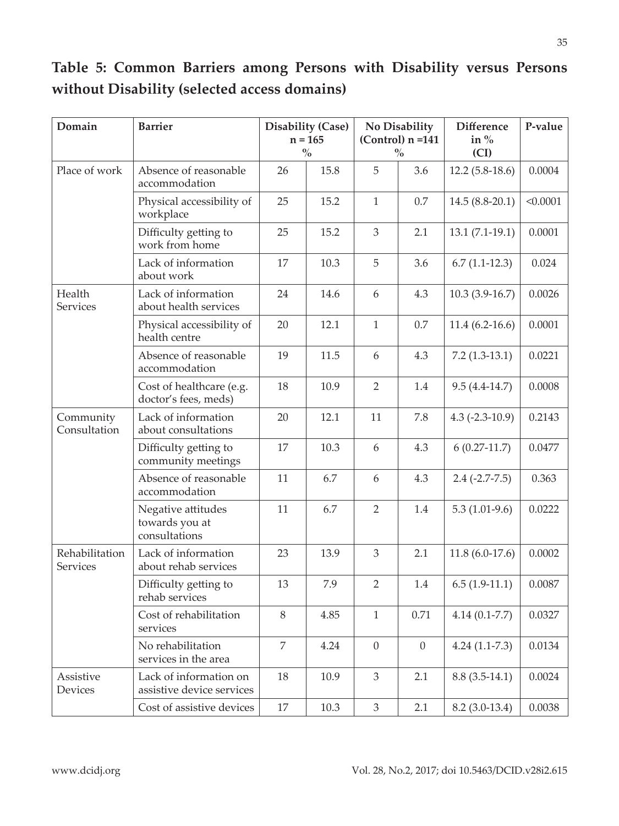| Domain                     | <b>Barrier</b>                                        |                | <b>Disability (Case)</b><br>$n = 165$<br>$\frac{0}{0}$ |                | No Disability<br>$(Control)$ n =141<br>$\frac{0}{0}$ | <b>Difference</b><br>in $%$<br>(CI) | P-value  |
|----------------------------|-------------------------------------------------------|----------------|--------------------------------------------------------|----------------|------------------------------------------------------|-------------------------------------|----------|
| Place of work              | Absence of reasonable<br>accommodation                | 26             | 15.8                                                   | 5              | 3.6                                                  | $12.2(5.8-18.6)$                    | 0.0004   |
|                            | Physical accessibility of<br>workplace                | 25             | 15.2                                                   | $\mathbf{1}$   | 0.7                                                  | 14.5 (8.8-20.1)                     | < 0.0001 |
|                            | Difficulty getting to<br>work from home               | 25             | 15.2                                                   | 3              | 2.1                                                  | $13.1 (7.1 - 19.1)$                 | 0.0001   |
|                            | Lack of information<br>about work                     | 17             | 10.3                                                   | 5              | 3.6                                                  | $6.7(1.1-12.3)$                     | 0.024    |
| Health<br><b>Services</b>  | Lack of information<br>about health services          | 24             | 14.6                                                   | 6              | 4.3                                                  | $10.3(3.9-16.7)$                    | 0.0026   |
|                            | Physical accessibility of<br>health centre            | 20             | 12.1                                                   | $\mathbf{1}$   | 0.7                                                  | $11.4(6.2-16.6)$                    | 0.0001   |
|                            | Absence of reasonable<br>accommodation                | 19             | 11.5                                                   | 6              | 4.3                                                  | $7.2(1.3-13.1)$                     | 0.0221   |
|                            | Cost of healthcare (e.g.<br>doctor's fees, meds)      | 18             | 10.9                                                   | 2              | 1.4                                                  | $9.5(4.4-14.7)$                     | 0.0008   |
| Community<br>Consultation  | Lack of information<br>about consultations            | 20             | 12.1                                                   | 11             | 7.8                                                  | $4.3$ (-2.3-10.9)                   | 0.2143   |
|                            | Difficulty getting to<br>community meetings           | 17             | 10.3                                                   | 6              | 4.3                                                  | $6(0.27-11.7)$                      | 0.0477   |
|                            | Absence of reasonable<br>accommodation                | 11             | 6.7                                                    | 6              | 4.3                                                  | $2.4$ (-2.7-7.5)                    | 0.363    |
|                            | Negative attitudes<br>towards you at<br>consultations | 11             | 6.7                                                    | $\overline{2}$ | 1.4                                                  | $5.3(1.01-9.6)$                     | 0.0222   |
| Rehabilitation<br>Services | Lack of information<br>about rehab services           | 23             | 13.9                                                   | $\mathfrak{Z}$ | 2.1                                                  | $11.8(6.0-17.6)$                    | 0.0002   |
|                            | Difficulty getting to<br>rehab services               | 13             | 7.9                                                    | 2              | 1.4                                                  | $6.5(1.9-11.1)$                     | 0.0087   |
|                            | Cost of rehabilitation<br>services                    | 8              | 4.85                                                   | $\mathbf{1}$   | 0.71                                                 | $4.14(0.1 - 7.7)$                   | 0.0327   |
|                            | No rehabilitation<br>services in the area             | $\overline{7}$ | 4.24                                                   | $\overline{0}$ | $\overline{0}$                                       | $4.24(1.1-7.3)$                     | 0.0134   |
| Assistive<br>Devices       | Lack of information on<br>assistive device services   | 18             | 10.9                                                   | 3              | 2.1                                                  | $8.8(3.5-14.1)$                     | 0.0024   |
|                            | Cost of assistive devices                             | 17             | 10.3                                                   | 3              | 2.1                                                  | $8.2(3.0-13.4)$                     | 0.0038   |

### **Table 5: Common Barriers among Persons with Disability versus Persons without Disability (selected access domains)**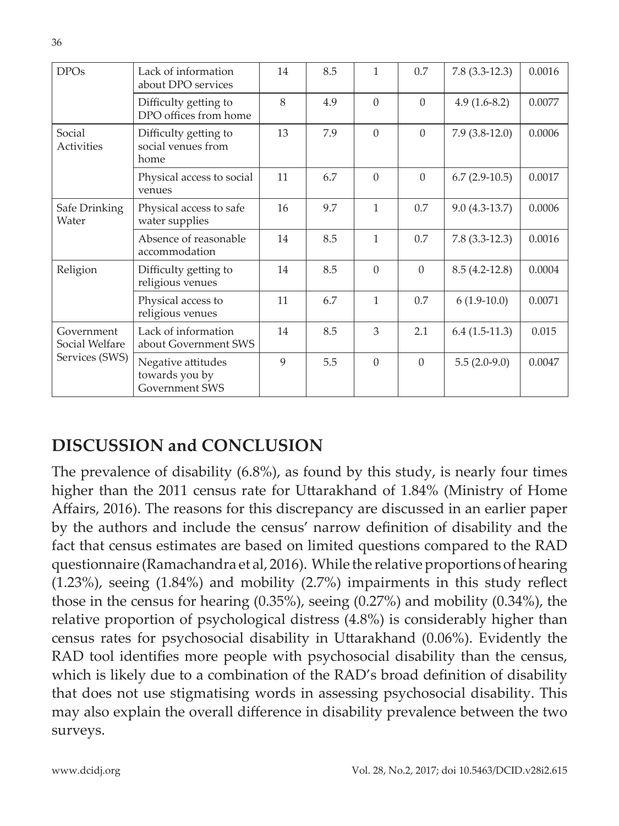| <b>DPOs</b>                  | Lack of information<br>about DPO services              | 14           | 8.5 | 1            | 0.7      | $7.8(3.3-12.3)$ | 0.0016 |
|------------------------------|--------------------------------------------------------|--------------|-----|--------------|----------|-----------------|--------|
|                              | Difficulty getting to<br>DPO offices from home         | 8            | 4.9 | $\Omega$     | $\Omega$ | $4.9(1.6-8.2)$  | 0.0077 |
| Social<br>Activities         | Difficulty getting to<br>social venues from<br>home    | 13           | 7.9 | $\Omega$     | $\Omega$ | $7.9(3.8-12.0)$ | 0.0006 |
|                              | Physical access to social<br>venues                    | 11           | 6.7 | $\Omega$     | $\Omega$ | $6.7(2.9-10.5)$ | 0.0017 |
| Safe Drinking<br>Water       | Physical access to safe<br>water supplies              | 16           | 9.7 | $\mathbf{1}$ | 0.7      | $9.0(4.3-13.7)$ | 0.0006 |
|                              | Absence of reasonable<br>accommodation                 | 14           | 8.5 | 1            | 0.7      | $7.8(3.3-12.3)$ | 0.0016 |
| Religion                     | Difficulty getting to<br>religious venues              | 14           | 8.5 | $\Omega$     | $\Omega$ | $8.5(4.2-12.8)$ | 0.0004 |
|                              | Physical access to<br>religious venues                 | 11           | 6.7 | 1            | 0.7      | $6(1.9-10.0)$   | 0.0071 |
| Government<br>Social Welfare | Lack of information<br>about Government SWS            | 14           | 8.5 | 3            | 2.1      | $6.4(1.5-11.3)$ | 0.015  |
| Services (SWS)               | Negative attitudes<br>towards you by<br>Government SWS | $\mathbf{Q}$ | 5.5 | $\Omega$     | $\Omega$ | $5.5(2.0-9.0)$  | 0.0047 |

## **DISCUSSION and CONCLUSION**

The prevalence of disability (6.8%), as found by this study, is nearly four times higher than the 2011 census rate for Uttarakhand of 1.84% (Ministry of Home Affairs, 2016). The reasons for this discrepancy are discussed in an earlier paper by the authors and include the census' narrow definition of disability and the fact that census estimates are based on limited questions compared to the RAD questionnaire (Ramachandra et al, 2016). While the relative proportions of hearing (1.23%), seeing (1.84%) and mobility (2.7%) impairments in this study reflect those in the census for hearing (0.35%), seeing (0.27%) and mobility (0.34%), the relative proportion of psychological distress (4.8%) is considerably higher than census rates for psychosocial disability in Uttarakhand (0.06%). Evidently the RAD tool identifies more people with psychosocial disability than the census, which is likely due to a combination of the RAD's broad definition of disability that does not use stigmatising words in assessing psychosocial disability. This may also explain the overall difference in disability prevalence between the two surveys.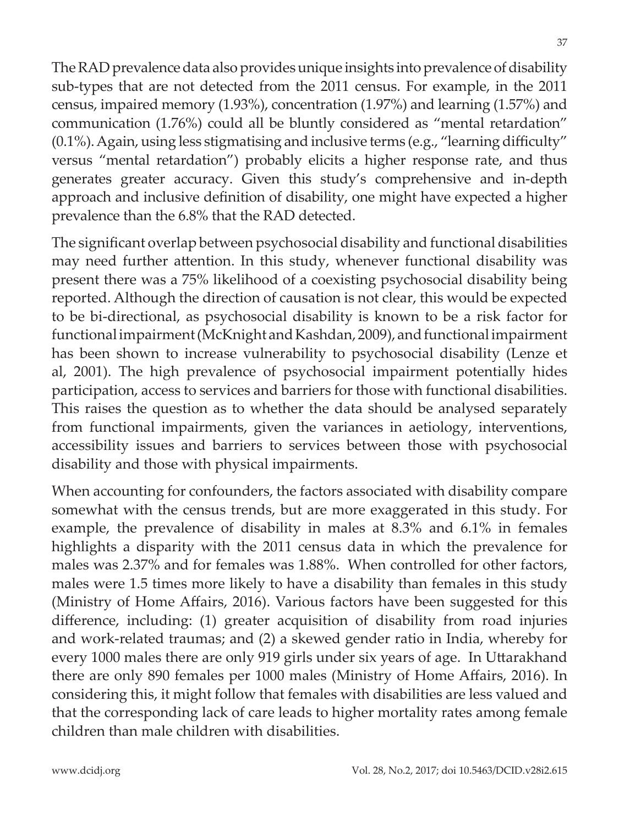The RAD prevalence data also provides unique insights into prevalence of disability sub-types that are not detected from the 2011 census. For example, in the 2011 census, impaired memory (1.93%), concentration (1.97%) and learning (1.57%) and communication (1.76%) could all be bluntly considered as "mental retardation" (0.1%). Again, using less stigmatising and inclusive terms (e.g., "learning difficulty" versus "mental retardation") probably elicits a higher response rate, and thus generates greater accuracy. Given this study's comprehensive and in-depth approach and inclusive definition of disability, one might have expected a higher prevalence than the 6.8% that the RAD detected.

The significant overlap between psychosocial disability and functional disabilities may need further attention. In this study, whenever functional disability was present there was a 75% likelihood of a coexisting psychosocial disability being reported. Although the direction of causation is not clear, this would be expected to be bi-directional, as psychosocial disability is known to be a risk factor for functional impairment (McKnight and Kashdan, 2009), and functional impairment has been shown to increase vulnerability to psychosocial disability (Lenze et al, 2001). The high prevalence of psychosocial impairment potentially hides participation, access to services and barriers for those with functional disabilities. This raises the question as to whether the data should be analysed separately from functional impairments, given the variances in aetiology, interventions, accessibility issues and barriers to services between those with psychosocial disability and those with physical impairments.

When accounting for confounders, the factors associated with disability compare somewhat with the census trends, but are more exaggerated in this study. For example, the prevalence of disability in males at 8.3% and 6.1% in females highlights a disparity with the 2011 census data in which the prevalence for males was 2.37% and for females was 1.88%. When controlled for other factors, males were 1.5 times more likely to have a disability than females in this study (Ministry of Home Affairs, 2016). Various factors have been suggested for this difference, including: (1) greater acquisition of disability from road injuries and work-related traumas; and (2) a skewed gender ratio in India, whereby for every 1000 males there are only 919 girls under six years of age. In Uttarakhand there are only 890 females per 1000 males (Ministry of Home Affairs, 2016). In considering this, it might follow that females with disabilities are less valued and that the corresponding lack of care leads to higher mortality rates among female children than male children with disabilities.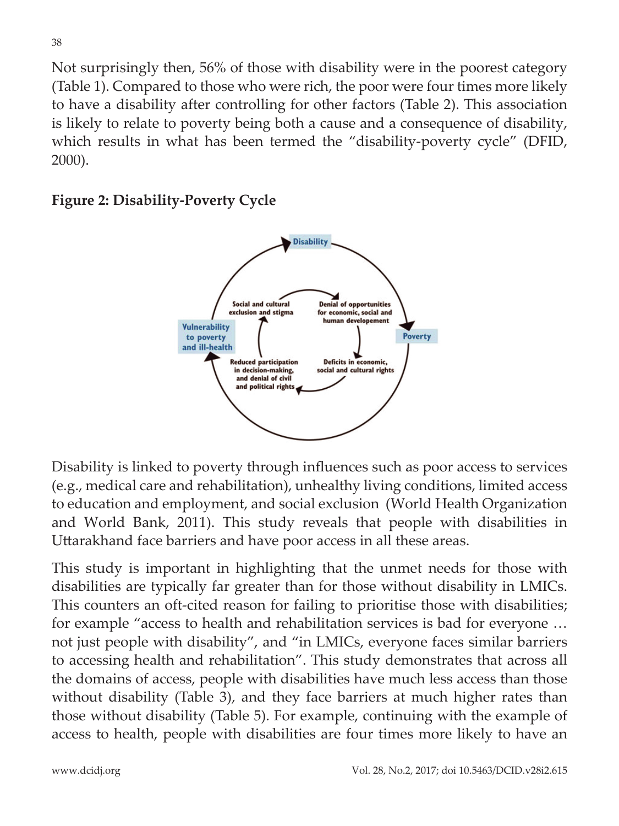Not surprisingly then, 56% of those with disability were in the poorest category (Table 1). Compared to those who were rich, the poor were four times more likely to have a disability after controlling for other factors (Table 2). This association is likely to relate to poverty being both a cause and a consequence of disability, which results in what has been termed the "disability-poverty cycle" (DFID, 2000).





Disability is linked to poverty through influences such as poor access to services (e.g., medical care and rehabilitation), unhealthy living conditions, limited access to education and employment, and social exclusion (World Health Organization and World Bank, 2011). This study reveals that people with disabilities in Uttarakhand face barriers and have poor access in all these areas.

This study is important in highlighting that the unmet needs for those with disabilities are typically far greater than for those without disability in LMICs. This counters an oft-cited reason for failing to prioritise those with disabilities; for example "access to health and rehabilitation services is bad for everyone … not just people with disability", and "in LMICs, everyone faces similar barriers to accessing health and rehabilitation". This study demonstrates that across all the domains of access, people with disabilities have much less access than those without disability (Table 3), and they face barriers at much higher rates than those without disability (Table 5). For example, continuing with the example of access to health, people with disabilities are four times more likely to have an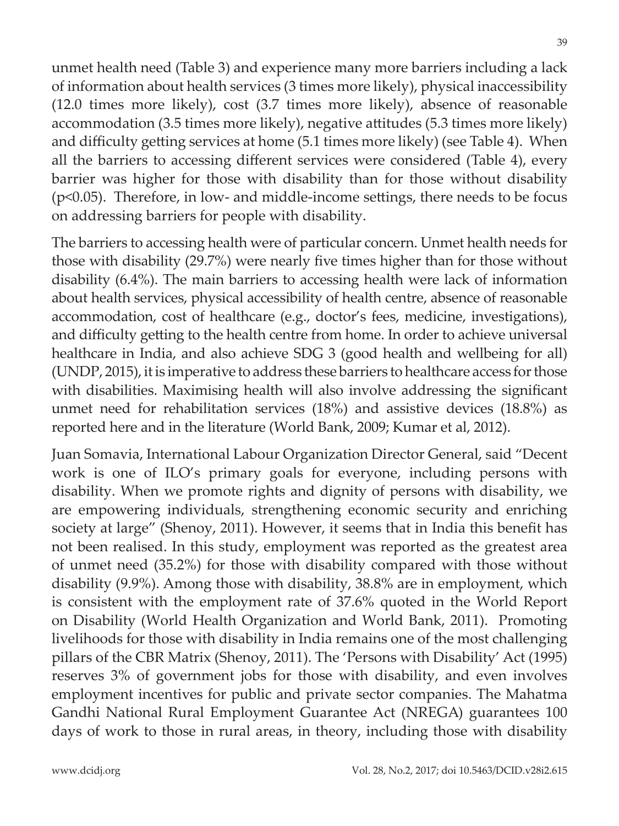unmet health need (Table 3) and experience many more barriers including a lack of information about health services (3 times more likely), physical inaccessibility (12.0 times more likely), cost (3.7 times more likely), absence of reasonable accommodation (3.5 times more likely), negative attitudes (5.3 times more likely) and difficulty getting services at home (5.1 times more likely) (see Table 4). When all the barriers to accessing different services were considered (Table 4), every barrier was higher for those with disability than for those without disability (p<0.05). Therefore, in low- and middle-income settings, there needs to be focus on addressing barriers for people with disability.

The barriers to accessing health were of particular concern. Unmet health needs for those with disability (29.7%) were nearly five times higher than for those without disability (6.4%). The main barriers to accessing health were lack of information about health services, physical accessibility of health centre, absence of reasonable accommodation, cost of healthcare (e.g., doctor's fees, medicine, investigations), and difficulty getting to the health centre from home. In order to achieve universal healthcare in India, and also achieve SDG 3 (good health and wellbeing for all) (UNDP, 2015), it is imperative to address these barriers to healthcare access for those with disabilities. Maximising health will also involve addressing the significant unmet need for rehabilitation services (18%) and assistive devices (18.8%) as reported here and in the literature (World Bank, 2009; Kumar et al, 2012).

Juan Somavia, International Labour Organization Director General, said "Decent work is one of ILO's primary goals for everyone, including persons with disability. When we promote rights and dignity of persons with disability, we are empowering individuals, strengthening economic security and enriching society at large" (Shenoy, 2011). However, it seems that in India this benefit has not been realised. In this study, employment was reported as the greatest area of unmet need (35.2%) for those with disability compared with those without disability (9.9%). Among those with disability, 38.8% are in employment, which is consistent with the employment rate of 37.6% quoted in the World Report on Disability (World Health Organization and World Bank, 2011). Promoting livelihoods for those with disability in India remains one of the most challenging pillars of the CBR Matrix (Shenoy, 2011). The 'Persons with Disability' Act (1995) reserves 3% of government jobs for those with disability, and even involves employment incentives for public and private sector companies. The Mahatma Gandhi National Rural Employment Guarantee Act (NREGA) guarantees 100 days of work to those in rural areas, in theory, including those with disability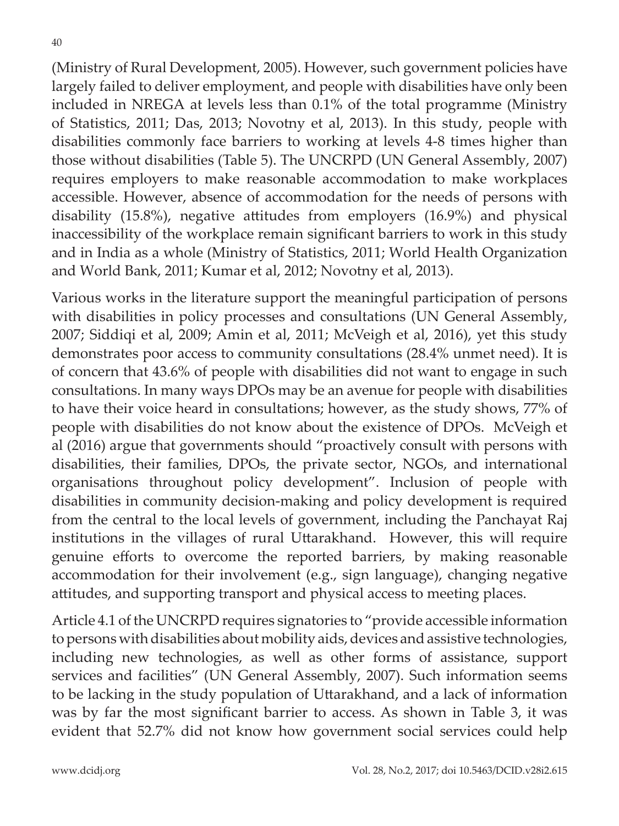40

(Ministry of Rural Development, 2005). However, such government policies have largely failed to deliver employment, and people with disabilities have only been included in NREGA at levels less than 0.1% of the total programme (Ministry of Statistics, 2011; Das, 2013; Novotny et al, 2013). In this study, people with disabilities commonly face barriers to working at levels 4-8 times higher than those without disabilities (Table 5). The UNCRPD (UN General Assembly, 2007) requires employers to make reasonable accommodation to make workplaces accessible. However, absence of accommodation for the needs of persons with disability (15.8%), negative attitudes from employers (16.9%) and physical inaccessibility of the workplace remain significant barriers to work in this study and in India as a whole (Ministry of Statistics, 2011; World Health Organization and World Bank, 2011; Kumar et al, 2012; Novotny et al, 2013).

Various works in the literature support the meaningful participation of persons with disabilities in policy processes and consultations (UN General Assembly, 2007; Siddiqi et al, 2009; Amin et al, 2011; McVeigh et al, 2016), yet this study demonstrates poor access to community consultations (28.4% unmet need). It is of concern that 43.6% of people with disabilities did not want to engage in such consultations. In many ways DPOs may be an avenue for people with disabilities to have their voice heard in consultations; however, as the study shows, 77% of people with disabilities do not know about the existence of DPOs. McVeigh et al (2016) argue that governments should "proactively consult with persons with disabilities, their families, DPOs, the private sector, NGOs, and international organisations throughout policy development". Inclusion of people with disabilities in community decision-making and policy development is required from the central to the local levels of government, including the Panchayat Raj institutions in the villages of rural Uttarakhand. However, this will require genuine efforts to overcome the reported barriers, by making reasonable accommodation for their involvement (e.g., sign language), changing negative attitudes, and supporting transport and physical access to meeting places.

Article 4.1 of the UNCRPD requires signatories to "provide accessible information to persons with disabilities about mobility aids, devices and assistive technologies, including new technologies, as well as other forms of assistance, support services and facilities" (UN General Assembly, 2007). Such information seems to be lacking in the study population of Uttarakhand, and a lack of information was by far the most significant barrier to access. As shown in Table 3, it was evident that 52.7% did not know how government social services could help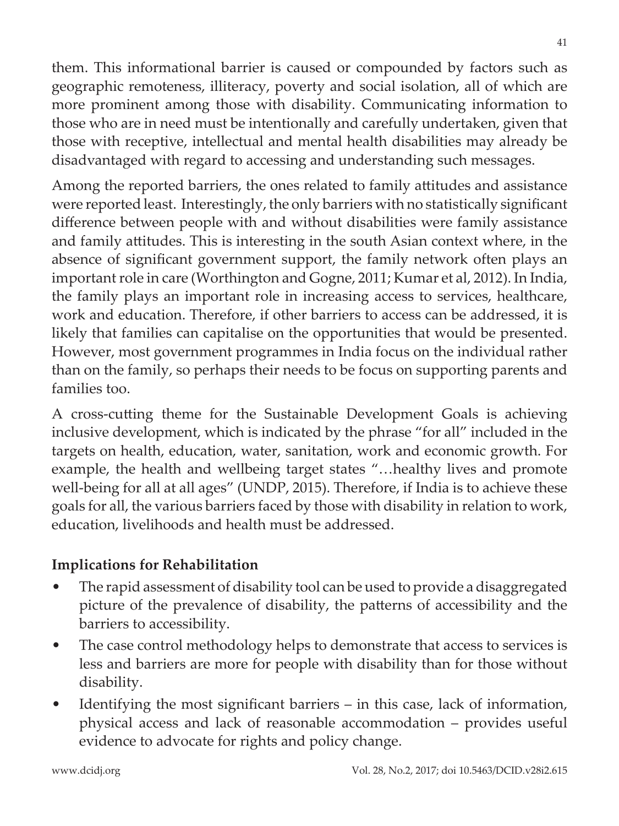them. This informational barrier is caused or compounded by factors such as geographic remoteness, illiteracy, poverty and social isolation, all of which are more prominent among those with disability. Communicating information to those who are in need must be intentionally and carefully undertaken, given that those with receptive, intellectual and mental health disabilities may already be disadvantaged with regard to accessing and understanding such messages.

Among the reported barriers, the ones related to family attitudes and assistance were reported least. Interestingly, the only barriers with no statistically significant difference between people with and without disabilities were family assistance and family attitudes. This is interesting in the south Asian context where, in the absence of significant government support, the family network often plays an important role in care (Worthington and Gogne, 2011; Kumar et al, 2012). In India, the family plays an important role in increasing access to services, healthcare, work and education. Therefore, if other barriers to access can be addressed, it is likely that families can capitalise on the opportunities that would be presented. However, most government programmes in India focus on the individual rather than on the family, so perhaps their needs to be focus on supporting parents and families too.

A cross-cutting theme for the Sustainable Development Goals is achieving inclusive development, which is indicated by the phrase "for all" included in the targets on health, education, water, sanitation, work and economic growth. For example, the health and wellbeing target states "…healthy lives and promote well-being for all at all ages" (UNDP, 2015). Therefore, if India is to achieve these goals for all, the various barriers faced by those with disability in relation to work, education, livelihoods and health must be addressed.

#### **Implications for Rehabilitation**

- The rapid assessment of disability tool can be used to provide a disaggregated picture of the prevalence of disability, the patterns of accessibility and the barriers to accessibility.
- The case control methodology helps to demonstrate that access to services is less and barriers are more for people with disability than for those without disability.
- Identifying the most significant barriers in this case, lack of information, physical access and lack of reasonable accommodation – provides useful evidence to advocate for rights and policy change.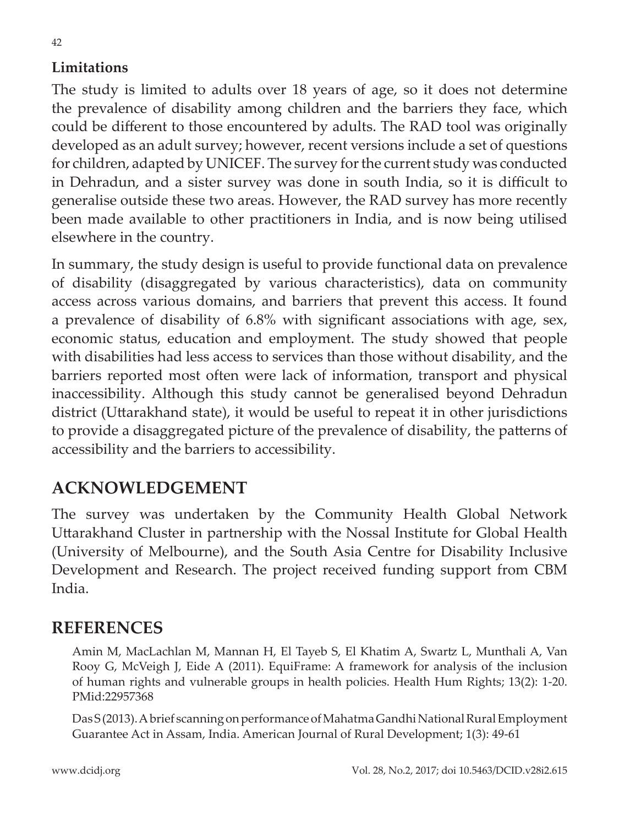#### **Limitations**

The study is limited to adults over 18 years of age, so it does not determine the prevalence of disability among children and the barriers they face, which could be different to those encountered by adults. The RAD tool was originally developed as an adult survey; however, recent versions include a set of questions for children, adapted by UNICEF. The survey for the current study was conducted in Dehradun, and a sister survey was done in south India, so it is difficult to generalise outside these two areas. However, the RAD survey has more recently been made available to other practitioners in India, and is now being utilised elsewhere in the country.

In summary, the study design is useful to provide functional data on prevalence of disability (disaggregated by various characteristics), data on community access across various domains, and barriers that prevent this access. It found a prevalence of disability of 6.8% with significant associations with age, sex, economic status, education and employment. The study showed that people with disabilities had less access to services than those without disability, and the barriers reported most often were lack of information, transport and physical inaccessibility. Although this study cannot be generalised beyond Dehradun district (Uttarakhand state), it would be useful to repeat it in other jurisdictions to provide a disaggregated picture of the prevalence of disability, the patterns of accessibility and the barriers to accessibility.

## **ACKNOWLEDGEMENT**

The survey was undertaken by the Community Health Global Network Uttarakhand Cluster in partnership with the Nossal Institute for Global Health (University of Melbourne), and the South Asia Centre for Disability Inclusive Development and Research. The project received funding support from CBM India.

### **REFERENCES**

Amin M, MacLachlan M, Mannan H, El Tayeb S, El Khatim A, Swartz L, Munthali A, Van Rooy G, McVeigh J, Eide A (2011). EquiFrame: A framework for analysis of the inclusion of human rights and vulnerable groups in health policies. Health Hum Rights; 13(2): 1-20. PMid:22957368

Das S (2013). A brief scanning on performance of Mahatma Gandhi National Rural Employment Guarantee Act in Assam, India. American Journal of Rural Development; 1(3): 49-61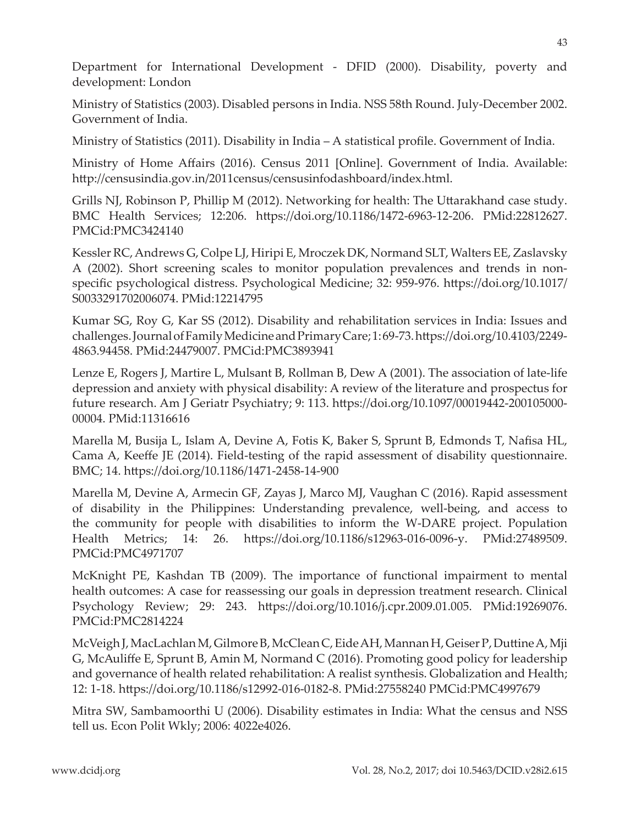Department for International Development - DFID (2000). Disability, poverty and development: London

Ministry of Statistics (2003). Disabled persons in India. NSS 58th Round. July-December 2002. Government of India.

Ministry of Statistics (2011). Disability in India – A statistical profile. Government of India.

Ministry of Home Affairs (2016). Census 2011 [Online]. Government of India. Available: http://censusindia.gov.in/2011census/censusinfodashboard/index.html.

Grills NJ, Robinson P, Phillip M (2012). Networking for health: The Uttarakhand case study. BMC Health Services; 12:206. https://doi.org/10.1186/1472-6963-12-206. PMid:22812627. PMCid:PMC3424140

Kessler RC, Andrews G, Colpe LJ, Hiripi E, Mroczek DK, Normand SLT, Walters EE, Zaslavsky A (2002). Short screening scales to monitor population prevalences and trends in nonspecific psychological distress. Psychological Medicine; 32: 959-976. https://doi.org/10.1017/ S0033291702006074. PMid:12214795

Kumar SG, Roy G, Kar SS (2012). Disability and rehabilitation services in India: Issues and challenges. Journal of Family Medicine and Primary Care; 1: 69-73. https://doi.org/10.4103/2249- 4863.94458. PMid:24479007. PMCid:PMC3893941

Lenze E, Rogers J, Martire L, Mulsant B, Rollman B, Dew A (2001). The association of late-life depression and anxiety with physical disability: A review of the literature and prospectus for future research. Am J Geriatr Psychiatry; 9: 113. https://doi.org/10.1097/00019442-200105000- 00004. PMid:11316616

Marella M, Busija L, Islam A, Devine A, Fotis K, Baker S, Sprunt B, Edmonds T, Nafisa HL, Cama A, Keeffe JE (2014). Field-testing of the rapid assessment of disability questionnaire. BMC; 14. https://doi.org/10.1186/1471-2458-14-900

Marella M, Devine A, Armecin GF, Zayas J, Marco MJ, Vaughan C (2016). Rapid assessment of disability in the Philippines: Understanding prevalence, well-being, and access to the community for people with disabilities to inform the W-DARE project. Population Health Metrics; 14: 26. https://doi.org/10.1186/s12963-016-0096-y. PMid:27489509. PMCid:PMC4971707

McKnight PE, Kashdan TB (2009). The importance of functional impairment to mental health outcomes: A case for reassessing our goals in depression treatment research. Clinical Psychology Review; 29: 243. https://doi.org/10.1016/j.cpr.2009.01.005. PMid:19269076. PMCid:PMC2814224

McVeigh J, MacLachlan M, Gilmore B, McClean C, Eide AH, Mannan H, Geiser P, Duttine A, Mji G, McAuliffe E, Sprunt B, Amin M, Normand C (2016). Promoting good policy for leadership and governance of health related rehabilitation: A realist synthesis. Globalization and Health; 12: 1-18. https://doi.org/10.1186/s12992-016-0182-8. PMid:27558240 PMCid:PMC4997679

Mitra SW, Sambamoorthi U (2006). Disability estimates in India: What the census and NSS tell us. Econ Polit Wkly; 2006: 4022e4026.